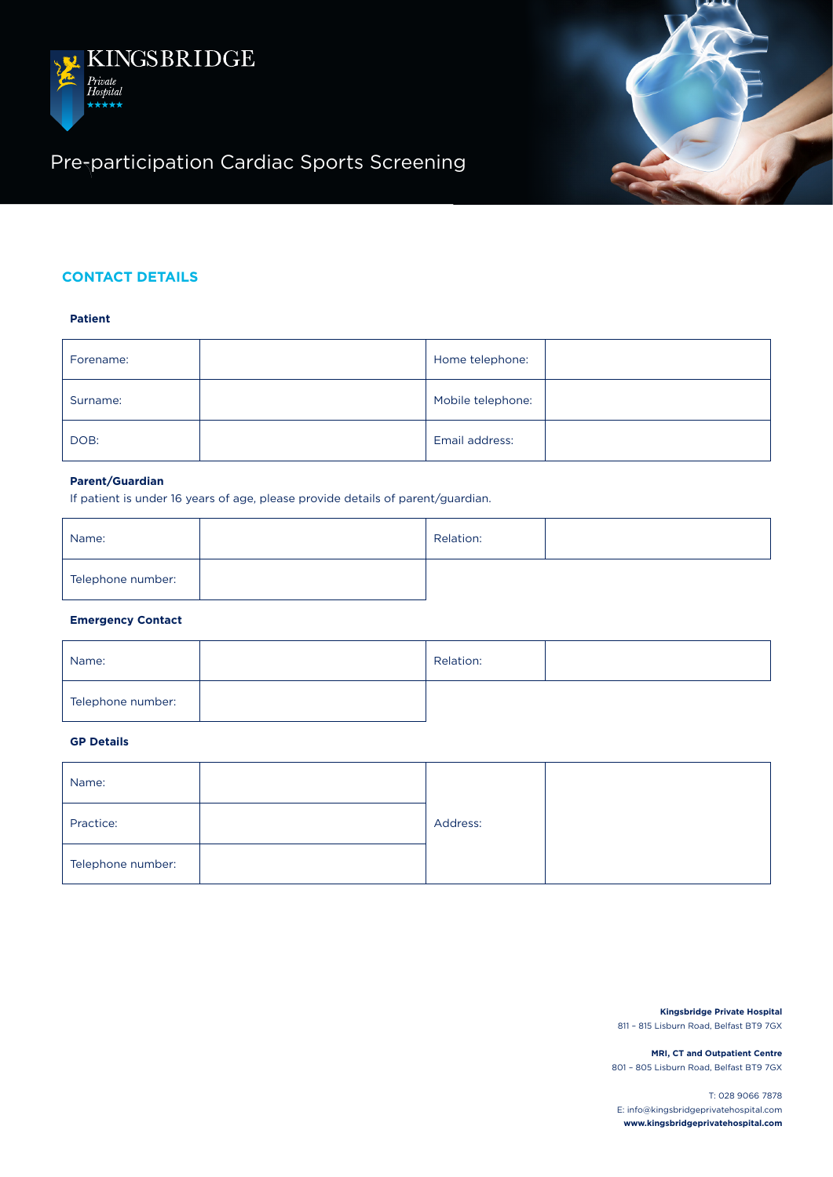



# Pre-participation Cardiac Sports Screening

## **CONTACT DETAILS**

## **Patient**

| Forename: | Home telephone:   |
|-----------|-------------------|
| Surname:  | Mobile telephone: |
| DOB:      | Email address:    |

#### **Parent/Guardian**

If patient is under 16 years of age, please provide details of parent/guardian.

| Name:             | Relation: |  |
|-------------------|-----------|--|
| Telephone number: |           |  |

#### **Emergency Contact**

| Name:             | Relation: |  |
|-------------------|-----------|--|
| Telephone number: |           |  |

## **GP Details**

| Name:             |          |  |
|-------------------|----------|--|
| Practice:         | Address: |  |
| Telephone number: |          |  |

**Kingsbridge Private Hospital** 811 – 815 Lisburn Road, Belfast BT9 7GX

**MRI, CT and Outpatient Centre** 801 – 805 Lisburn Road, Belfast BT9 7GX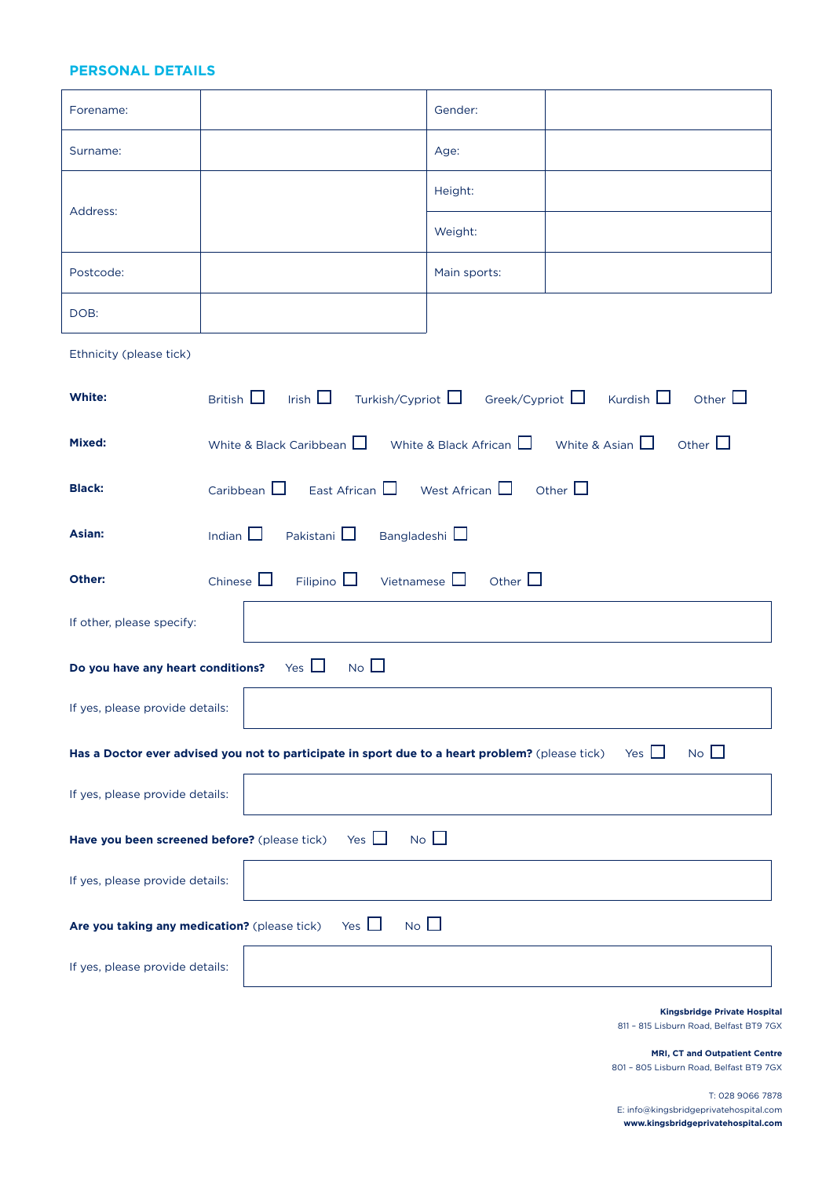## **PERSONAL DETAILS**

| Forename:                                                                                                                    |                                                                                                     | Gender:      |                                                                   |
|------------------------------------------------------------------------------------------------------------------------------|-----------------------------------------------------------------------------------------------------|--------------|-------------------------------------------------------------------|
| Surname:                                                                                                                     |                                                                                                     | Age:         |                                                                   |
|                                                                                                                              |                                                                                                     | Height:      |                                                                   |
| Address:                                                                                                                     |                                                                                                     | Weight:      |                                                                   |
| Postcode:                                                                                                                    |                                                                                                     | Main sports: |                                                                   |
| DOB:                                                                                                                         |                                                                                                     |              |                                                                   |
| Ethnicity (please tick)                                                                                                      |                                                                                                     |              |                                                                   |
| White:                                                                                                                       | British $\Box$ Irish $\Box$ Turkish/Cypriot $\Box$ Greek/Cypriot $\Box$ Kurdish $\Box$ Other $\Box$ |              |                                                                   |
| Mixed:                                                                                                                       | White & Black Caribbean $\Box$                                                                      |              | White & Black African $\Box$ White & Asian $\Box$<br>Other $\Box$ |
| <b>Black:</b>                                                                                                                | Caribbean $\Box$ East African $\Box$ West African $\Box$                                            |              | Other $\square$                                                   |
| Asian:                                                                                                                       | Indian $\square$<br>Pakistani $\square$<br>Bangladeshi                                              |              |                                                                   |
| Other:                                                                                                                       | Chinese $\Box$<br>Filipino $\Box$<br>Vietnamese $\square$                                           | Other $\Box$ |                                                                   |
| If other, please specify:                                                                                                    |                                                                                                     |              |                                                                   |
| Yes $\Box$<br>$No$ $\Box$<br>Do you have any heart conditions?                                                               |                                                                                                     |              |                                                                   |
| If yes, please provide details:                                                                                              |                                                                                                     |              |                                                                   |
| $No$ $\Box$<br>Yes $\Box$<br>Has a Doctor ever advised you not to participate in sport due to a heart problem? (please tick) |                                                                                                     |              |                                                                   |
| If yes, please provide details:                                                                                              |                                                                                                     |              |                                                                   |
| $No$ $\Box$<br>Yes $\Box$<br>Have you been screened before? (please tick)                                                    |                                                                                                     |              |                                                                   |
| If yes, please provide details:                                                                                              |                                                                                                     |              |                                                                   |
| $No$ $\Box$<br>Yes $\Box$<br>Are you taking any medication? (please tick)                                                    |                                                                                                     |              |                                                                   |
| If yes, please provide details:                                                                                              |                                                                                                     |              |                                                                   |
|                                                                                                                              |                                                                                                     |              | Kingsbridge Private Hospital                                      |

811 – 815 Lisburn Road, Belfast BT9 7GX

**MRI, CT and Outpatient Centre** 801 – 805 Lisburn Road, Belfast BT9 7GX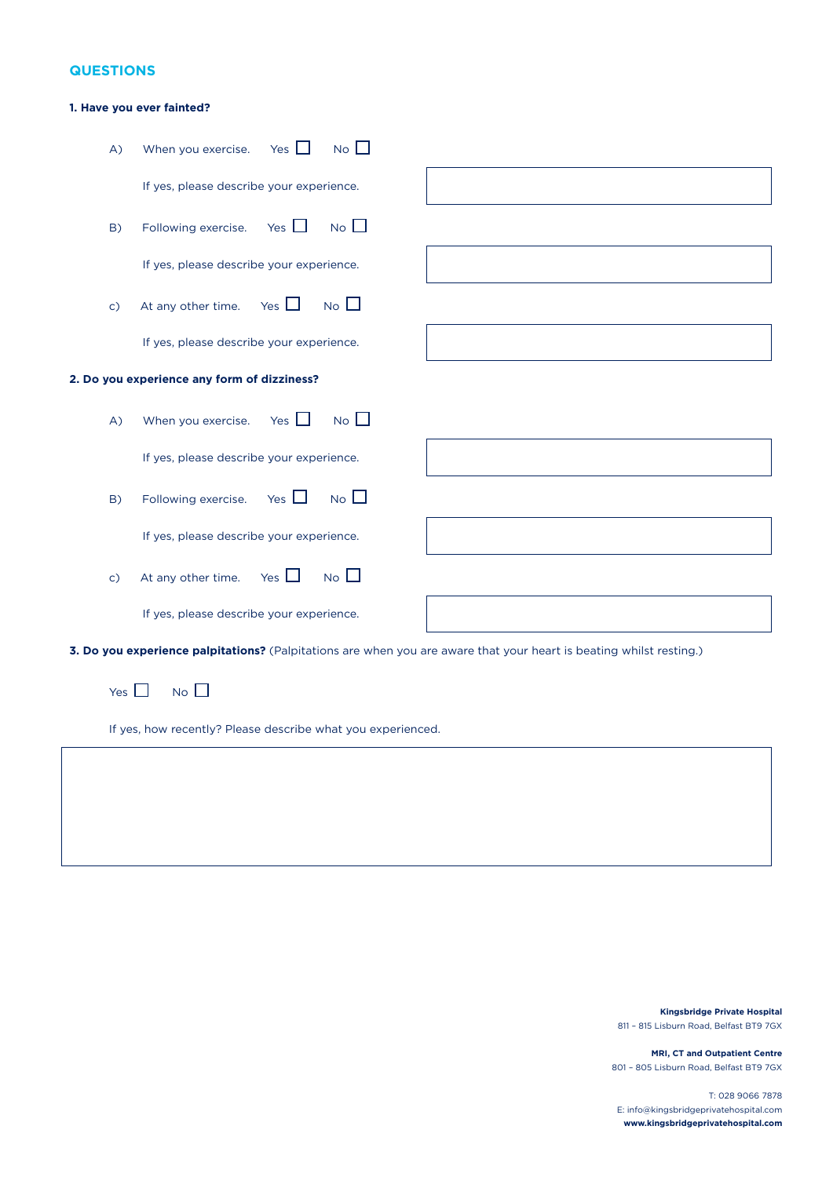## **QUESTIONS**

### **1. Have you ever fainted?**

| A)                                          | No<br>Yes $\Box$<br>When you exercise.                                                                              |  |  |
|---------------------------------------------|---------------------------------------------------------------------------------------------------------------------|--|--|
|                                             | If yes, please describe your experience.                                                                            |  |  |
| B)                                          | N <sub>o</sub><br>Yes $\Box$<br>Following exercise.                                                                 |  |  |
|                                             | If yes, please describe your experience.                                                                            |  |  |
| $\mathsf{c}$                                | No<br>Yes $\Box$<br>At any other time.                                                                              |  |  |
|                                             | If yes, please describe your experience.                                                                            |  |  |
| 2. Do you experience any form of dizziness? |                                                                                                                     |  |  |
| A)                                          | No<br>When you exercise. Yes $\Box$                                                                                 |  |  |
|                                             | If yes, please describe your experience.                                                                            |  |  |
| B)                                          | No<br>Yes $\Box$<br>Following exercise.                                                                             |  |  |
|                                             | If yes, please describe your experience.                                                                            |  |  |
| $\mathsf{c}$ )                              | No<br>Yes $\Box$<br>At any other time.                                                                              |  |  |
|                                             | If yes, please describe your experience.                                                                            |  |  |
|                                             | 3. Do you experience palpitations? (Palpitations are when you are aware that your heart is beating whilst resting.) |  |  |

Yes  $\Box$  No  $\Box$ 

If yes, how recently? Please describe what you experienced.

**Kingsbridge Private Hospital** 811 – 815 Lisburn Road, Belfast BT9 7GX

**MRI, CT and Outpatient Centre** 801 – 805 Lisburn Road, Belfast BT9 7GX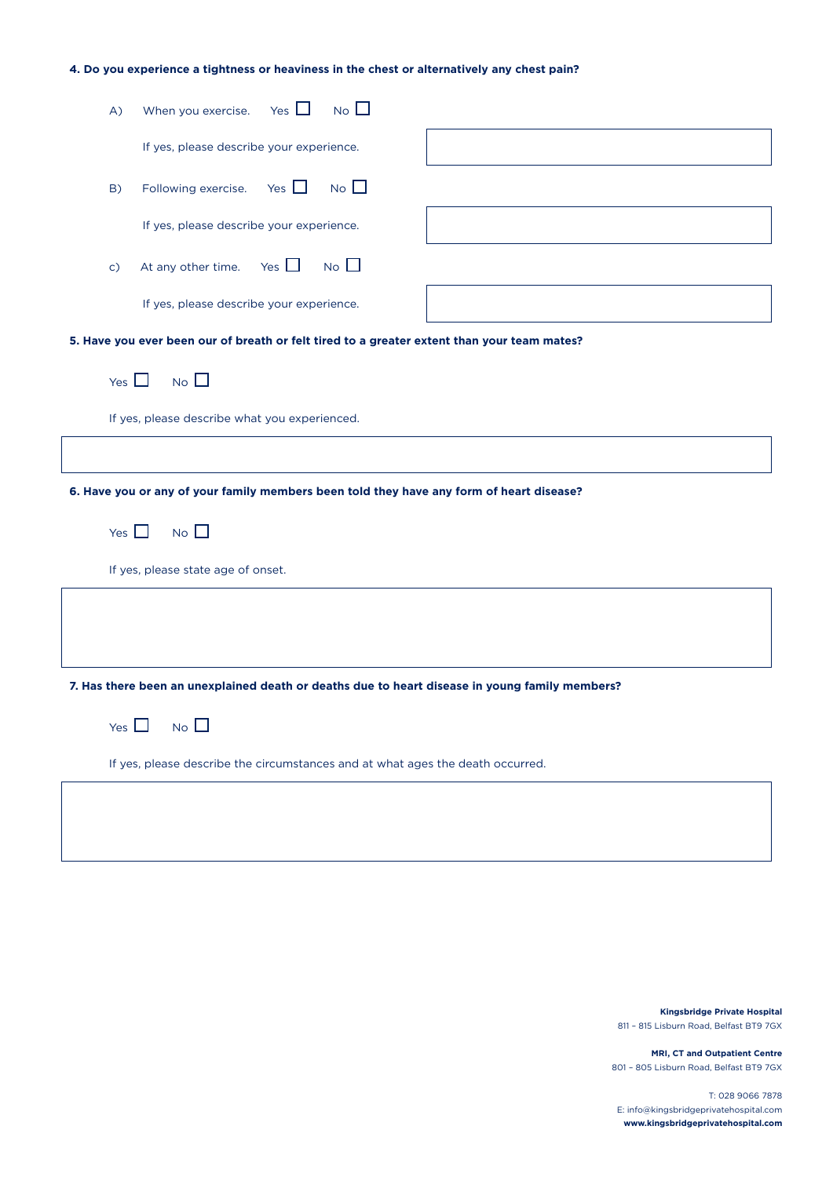### **4. Do you experience a tightness or heaviness in the chest or alternatively any chest pain?**

| When you exercise. Yes $\Box$<br>$No$ $\Box$<br>A)                                             |
|------------------------------------------------------------------------------------------------|
| If yes, please describe your experience.                                                       |
| Yes $\Box$ No $\Box$<br>Following exercise.<br>B)                                              |
| If yes, please describe your experience.                                                       |
| At any other time. Yes $\Box$ No $\Box$<br>$\mathsf{C}$                                        |
| If yes, please describe your experience.                                                       |
| 5. Have you ever been our of breath or felt tired to a greater extent than your team mates?    |
| Yes $\Box$ No $\Box$                                                                           |
| If yes, please describe what you experienced.                                                  |
|                                                                                                |
|                                                                                                |
| 6. Have you or any of your family members been told they have any form of heart disease?       |
| Yes $\Box$ No $\Box$                                                                           |
| If yes, please state age of onset.                                                             |
|                                                                                                |
|                                                                                                |
| 7. Has there been an unexplained death or deaths due to heart disease in young family members? |
| No<br>Yes $\vert$                                                                              |
| If yes, please describe the circumstances and at what ages the death occurred.                 |
|                                                                                                |

**Kingsbridge Private Hospital** 811 – 815 Lisburn Road, Belfast BT9 7GX

**MRI, CT and Outpatient Centre** 801 – 805 Lisburn Road, Belfast BT9 7GX